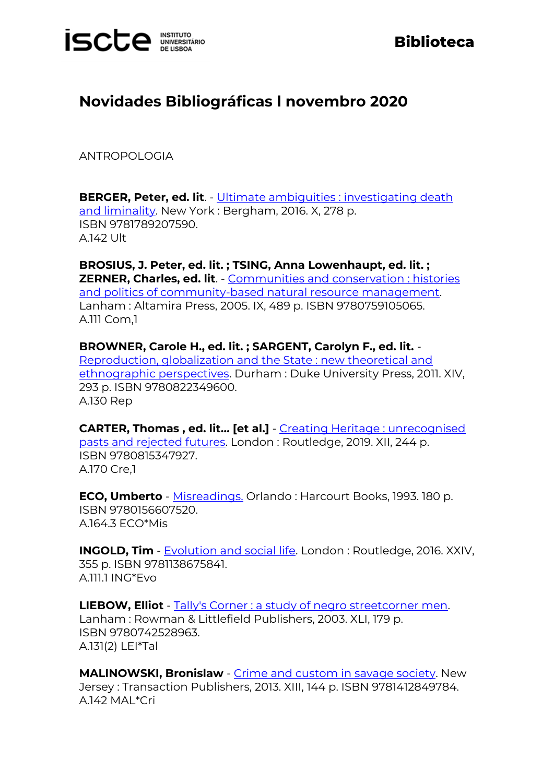## **ISCLE INSTITUTO**

## **Biblioteca**

## **Novidades Bibliográficas l novembro 2020**

ANTROPOLOGIA

**BERGER, Peter, ed. lit**. - Ultimate ambiguities : investigating death [and liminality.](https://catalogo.biblioteca.iscte-iul.pt/cgi-bin/koha/opac-detail.pl?biblionumber=107640) New York : Bergham, 2016. X, 278 p. ISBN 9781789207590. A.142 Ult

**BROSIUS, J. Peter, ed. lit. ; TSING, Anna Lowenhaupt, ed. lit. ; ZERNER, Charles, ed. lit**. - [Communities and conservation : histories](https://catalogo.biblioteca.iscte-iul.pt/cgi-bin/koha/opac-detail.pl?biblionumber=107635)  [and politics of community-based natural resource management.](https://catalogo.biblioteca.iscte-iul.pt/cgi-bin/koha/opac-detail.pl?biblionumber=107635) Lanham : Altamira Press, 2005. IX, 489 p. ISBN 9780759105065. A.111 Com,1

**BROWNER, Carole H., ed. lit. ; SARGENT, Carolyn F., ed. lit.** - [Reproduction, globalization and the State : new theoretical and](https://catalogo.biblioteca.iscte-iul.pt/cgi-bin/koha/opac-detail.pl?biblionumber=107339)  [ethnographic perspectives.](https://catalogo.biblioteca.iscte-iul.pt/cgi-bin/koha/opac-detail.pl?biblionumber=107339) Durham : Duke University Press, 2011. XIV, 293 p. ISBN 9780822349600. A.130 Rep

**CARTER, Thomas , ed. lit… [et al.]** - [Creating Heritage : unrecognised](https://catalogo.biblioteca.iscte-iul.pt/cgi-bin/koha/opac-detail.pl?biblionumber=107589)  [pasts and rejected futures.](https://catalogo.biblioteca.iscte-iul.pt/cgi-bin/koha/opac-detail.pl?biblionumber=107589) London : Routledge, 2019. XII, 244 p. ISBN 9780815347927. A.170 Cre,1

**ECO, Umberto** - [Misreadings.](https://catalogo.biblioteca.iscte-iul.pt/cgi-bin/koha/opac-detail.pl?biblionumber=107311) Orlando : Harcourt Books, 1993. 180 p. ISBN 9780156607520. A.164.3 ECO\*Mis

**INGOLD, Tim** - [Evolution and social life.](https://catalogo.biblioteca.iscte-iul.pt/cgi-bin/koha/opac-detail.pl?biblionumber=107585) London: Routledge, 2016. XXIV, 355 p. ISBN 9781138675841. A.111.1 ING\*Evo

**LIEBOW, Elliot** - [Tally's Corner : a study of negro streetcorner men.](https://catalogo.biblioteca.iscte-iul.pt/cgi-bin/koha/opac-detail.pl?biblionumber=107303)  Lanham : Rowman & Littlefield Publishers, 2003. XLI, 179 p. ISBN 9780742528963. A.131(2) LEI\*Tal

**MALINOWSKI, Bronislaw** - [Crime and custom in savage society.](https://catalogo.biblioteca.iscte-iul.pt/cgi-bin/koha/opac-detail.pl?biblionumber=107594) New Jersey : Transaction Publishers, 2013. XIII, 144 p. ISBN 9781412849784. A.142 MAL\*Cri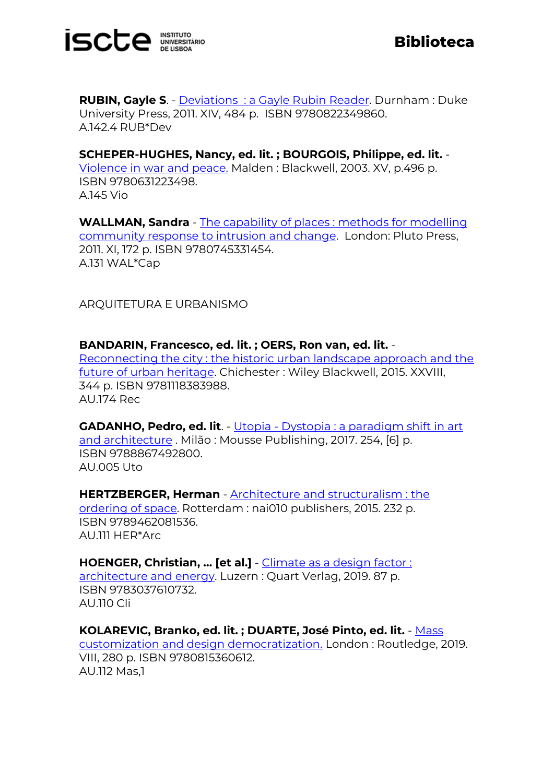

**RUBIN, Gayle S**. - Deviations [: a Gayle Rubin Reader.](https://catalogo.biblioteca.iscte-iul.pt/cgi-bin/koha/opac-detail.pl?biblionumber=107320) Durnham : Duke University Press, 2011. XIV, 484 p. ISBN 9780822349860. A.142.4 RUB\*Dev

**SCHEPER-HUGHES, Nancy, ed. lit. ; BOURGOIS, Philippe, ed. lit.** - [Violence in war and peace.](https://catalogo.biblioteca.iscte-iul.pt/cgi-bin/koha/opac-detail.pl?biblionumber=107304) Malden : Blackwell, 2003. XV, p.496 p. ISBN 9780631223498. A.145 Vio

**WALLMAN, Sandra** - [The capability of places : methods for modelling](https://catalogo.biblioteca.iscte-iul.pt/cgi-bin/koha/opac-detail.pl?biblionumber=107325)  [community response to intrusion and change.](https://catalogo.biblioteca.iscte-iul.pt/cgi-bin/koha/opac-detail.pl?biblionumber=107325) London: Pluto Press, 2011. XI, 172 p. ISBN 9780745331454. A.131 WAL\*Cap

ARQUITETURA E URBANISMO

**BANDARIN, Francesco, ed. lit. ; OERS, Ron van, ed. lit.** - [Reconnecting the city : the historic urban landscape approach and the](https://catalogo.biblioteca.iscte-iul.pt/cgi-bin/koha/opac-detail.pl?biblionumber=107360)  [future of urban heritage.](https://catalogo.biblioteca.iscte-iul.pt/cgi-bin/koha/opac-detail.pl?biblionumber=107360) Chichester : Wiley Blackwell, 2015. XXVIII, 344 p. ISBN 9781118383988. AU.174 Rec

**GADANHO, Pedro, ed. lit**. - Utopia - Dystopia : a paradigm shift in art [and architecture](https://catalogo.biblioteca.iscte-iul.pt/cgi-bin/koha/opac-detail.pl?biblionumber=105227) . Milão : Mousse Publishing, 2017. 254, [6] p. ISBN 9788867492800. AU.005 Uto

**HERTZBERGER, Herman** - [Architecture and structuralism : the](https://catalogo.biblioteca.iscte-iul.pt/cgi-bin/koha/opac-detail.pl?biblionumber=107541)  [ordering of space.](https://catalogo.biblioteca.iscte-iul.pt/cgi-bin/koha/opac-detail.pl?biblionumber=107541) Rotterdam : nai010 publishers, 2015. 232 p. ISBN 9789462081536. AU.111 HER\*Arc

**HOENGER, Christian, … [et al.]** - [Climate as a design factor :](https://catalogo.biblioteca.iscte-iul.pt/cgi-bin/koha/opac-detail.pl?biblionumber=107533)  [architecture and energy.](https://catalogo.biblioteca.iscte-iul.pt/cgi-bin/koha/opac-detail.pl?biblionumber=107533) Luzern : Quart Verlag, 2019. 87 p. ISBN 9783037610732. AU.110 Cli

**KOLAREVIC, Branko, ed. lit. ; DUARTE, José Pinto, ed. lit.** - [Mass](https://catalogo.biblioteca.iscte-iul.pt/cgi-bin/koha/opac-detail.pl?biblionumber=107579)  [customization and design democratization.](https://catalogo.biblioteca.iscte-iul.pt/cgi-bin/koha/opac-detail.pl?biblionumber=107579) London : Routledge, 2019. VIII, 280 p. ISBN 9780815360612. AU.112 Mas,1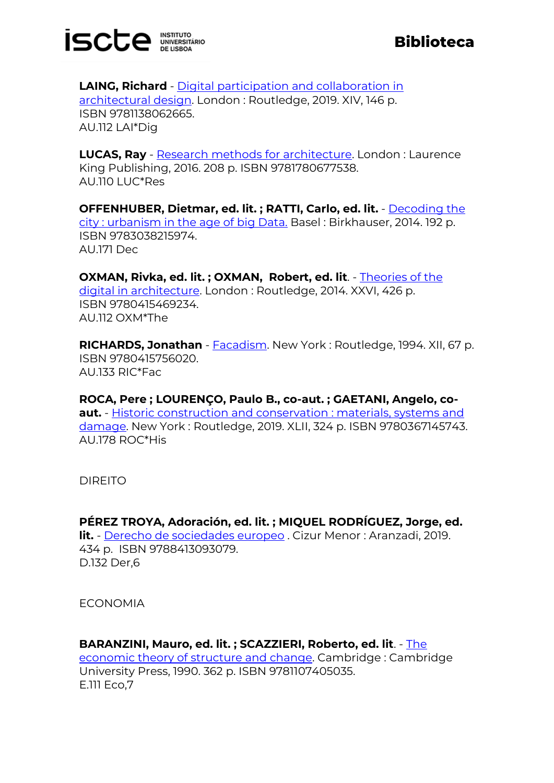

**LAING, Richard** - [Digital participation and collaboration in](https://catalogo.biblioteca.iscte-iul.pt/cgi-bin/koha/opac-detail.pl?biblionumber=107598)  [architectural design.](https://catalogo.biblioteca.iscte-iul.pt/cgi-bin/koha/opac-detail.pl?biblionumber=107598) London : Routledge, 2019. XIV, 146 p. ISBN 9781138062665. AU.112 LAI\*Dig

**LUCAS, Ray** - [Research methods for architecture.](https://catalogo.biblioteca.iscte-iul.pt/cgi-bin/koha/opac-detail.pl?biblionumber=107359) London : Laurence King Publishing, 2016. 208 p. ISBN 9781780677538. AU.110 LUC\*Res

**OFFENHUBER, Dietmar, ed. lit. ; RATTI, Carlo, ed. lit.** - [Decoding the](https://catalogo.biblioteca.iscte-iul.pt/cgi-bin/koha/opac-detail.pl?biblionumber=107408)  [city : urbanism in the age of big Data.](https://catalogo.biblioteca.iscte-iul.pt/cgi-bin/koha/opac-detail.pl?biblionumber=107408) Basel : Birkhauser, 2014. 192 p. ISBN 9783038215974. AU.171 Dec

**OXMAN, Rivka, ed. lit. ; OXMAN, Robert, ed. lit**. - [Theories of the](https://catalogo.biblioteca.iscte-iul.pt/cgi-bin/koha/opac-detail.pl?biblionumber=107599)  [digital in architecture.](https://catalogo.biblioteca.iscte-iul.pt/cgi-bin/koha/opac-detail.pl?biblionumber=107599) London : Routledge, 2014. XXVI, 426 p. ISBN 9780415469234. AU.112 OXM\*The

**RICHARDS, Jonathan** - **Facadism**. New York: Routledge, 1994. XII. 67 p. ISBN 9780415756020. AU.133 RIC\*Fac

**ROCA, Pere ; LOURENÇO, Paulo B., co-aut. ; GAETANI, Angelo, coaut.** - [Historic construction and conservation : materials, systems and](https://catalogo.biblioteca.iscte-iul.pt/cgi-bin/koha/opac-detail.pl?biblionumber=107537)  [damage.](https://catalogo.biblioteca.iscte-iul.pt/cgi-bin/koha/opac-detail.pl?biblionumber=107537) New York : Routledge, 2019. XLII, 324 p. ISBN 9780367145743. AU.178 ROC\*His

DIREITO

**PÉREZ TROYA, Adoración, ed. lit. ; MIQUEL RODRÍGUEZ, Jorge, ed. lit.** - [Derecho de sociedades europeo](https://catalogo.biblioteca.iscte-iul.pt/cgi-bin/koha/opac-detail.pl?biblionumber=107409) . Cizur Menor : Aranzadi, 2019. 434 p. ISBN 9788413093079. D.132 Der,6

**ECONOMIA** 

**BARANZINI, Mauro, ed. lit. ; SCAZZIERI, Roberto, ed. lit**. - [The](https://catalogo.biblioteca.iscte-iul.pt/cgi-bin/koha/opac-detail.pl?biblionumber=107385)  [economic theory of structure and change.](https://catalogo.biblioteca.iscte-iul.pt/cgi-bin/koha/opac-detail.pl?biblionumber=107385) Cambridge : Cambridge University Press, 1990. 362 p. ISBN 9781107405035. E.111 Eco,7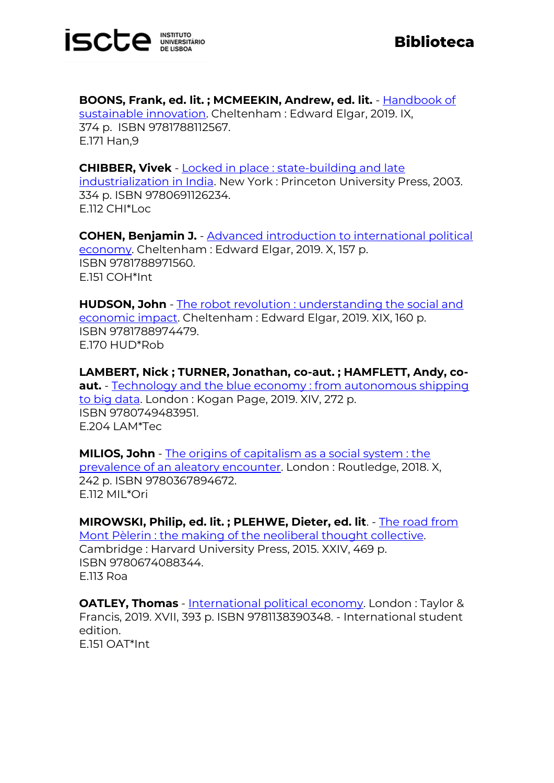

**BOONS, Frank, ed. lit. ; MCMEEKIN, Andrew, ed. lit.** - [Handbook of](https://catalogo.biblioteca.iscte-iul.pt/cgi-bin/koha/opac-detail.pl?biblionumber=107343)  [sustainable innovation.](https://catalogo.biblioteca.iscte-iul.pt/cgi-bin/koha/opac-detail.pl?biblionumber=107343) Cheltenham : Edward Elgar, 2019. IX, 374 p. ISBN 9781788112567. E.171 Han,9

**CHIBBER, Vivek** - [Locked in place : state-building and late](https://catalogo.biblioteca.iscte-iul.pt/cgi-bin/koha/opac-detail.pl?biblionumber=107287)  [industrialization in India.](https://catalogo.biblioteca.iscte-iul.pt/cgi-bin/koha/opac-detail.pl?biblionumber=107287) New York : Princeton University Press, 2003. 334 p. ISBN 9780691126234. E.112 CHI\*Loc

**COHEN, Benjamin J.** - [Advanced introduction to international political](https://catalogo.biblioteca.iscte-iul.pt/cgi-bin/koha/opac-detail.pl?biblionumber=107380)  [economy.](https://catalogo.biblioteca.iscte-iul.pt/cgi-bin/koha/opac-detail.pl?biblionumber=107380) Cheltenham : Edward Elgar, 2019. X, 157 p. ISBN 9781788971560. E.151 COH\*Int

**HUDSON, John** - [The robot revolution : understanding the social and](https://catalogo.biblioteca.iscte-iul.pt/cgi-bin/koha/opac-detail.pl?biblionumber=107284)  [economic impact.](https://catalogo.biblioteca.iscte-iul.pt/cgi-bin/koha/opac-detail.pl?biblionumber=107284) Cheltenham : Edward Elgar, 2019. XIX, 160 p. ISBN 9781788974479. E.170 HUD\*Rob

**LAMBERT, Nick ; TURNER, Jonathan, co-aut. ; HAMFLETT, Andy, coaut.** - [Technology and the blue economy : from autonomous shipping](https://catalogo.biblioteca.iscte-iul.pt/cgi-bin/koha/opac-detail.pl?biblionumber=107383)  [to big data.](https://catalogo.biblioteca.iscte-iul.pt/cgi-bin/koha/opac-detail.pl?biblionumber=107383) London : Kogan Page, 2019. XIV, 272 p. ISBN 9780749483951. E.204 LAM\*Tec

**MILIOS, John** - [The origins of capitalism as a social system : the](https://catalogo.biblioteca.iscte-iul.pt/cgi-bin/koha/opac-detail.pl?biblionumber=107330)  [prevalence of an aleatory encounter.](https://catalogo.biblioteca.iscte-iul.pt/cgi-bin/koha/opac-detail.pl?biblionumber=107330) London : Routledge, 2018. X, 242 p. ISBN 9780367894672. E.112 MIL\*Ori

**MIROWSKI, Philip, ed. lit. ; PLEHWE, Dieter, ed. lit**. - [The road from](https://catalogo.biblioteca.iscte-iul.pt/cgi-bin/koha/opac-detail.pl?biblionumber=107391)  [Mont Pèlerin : the making of the neoliberal thought collective.](https://catalogo.biblioteca.iscte-iul.pt/cgi-bin/koha/opac-detail.pl?biblionumber=107391)  Cambridge : Harvard University Press, 2015. XXIV, 469 p. ISBN 9780674088344. E.113 Roa

**OATLEY, Thomas** - [International political economy.](https://catalogo.biblioteca.iscte-iul.pt/cgi-bin/koha/opac-detail.pl?biblionumber=107384) London: Taylor & Francis, 2019. XVII, 393 p. ISBN 9781138390348. - International student edition. E.151 OAT\*Int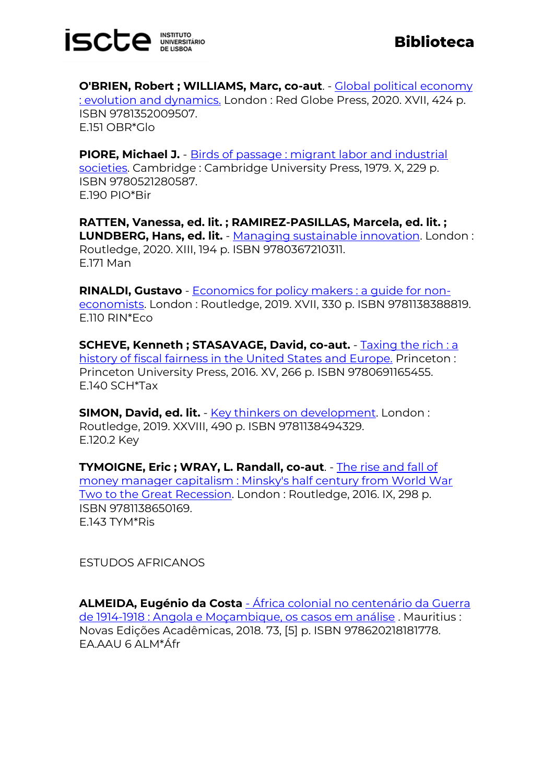

**O'BRIEN, Robert ; WILLIAMS, Marc, co-aut**. - [Global political economy](https://catalogo.biblioteca.iscte-iul.pt/cgi-bin/koha/opac-detail.pl?biblionumber=107306)  [: evolution and dynamics.](https://catalogo.biblioteca.iscte-iul.pt/cgi-bin/koha/opac-detail.pl?biblionumber=107306) London : Red Globe Press, 2020. XVII, 424 p. ISBN 9781352009507. E.151 OBR\*Glo

**PIORE, Michael J.** - Birds of passage : migrant labor and industrial [societies.](https://catalogo.biblioteca.iscte-iul.pt/cgi-bin/koha/opac-detail.pl?biblionumber=107381) Cambridge : Cambridge University Press, 1979. X, 229 p. ISBN 9780521280587. E.190 PIO\*Bir

**RATTEN, Vanessa, ed. lit. ; RAMIREZ-PASILLAS, Marcela, ed. lit. ; LUNDBERG, Hans, ed. lit.** - [Managing sustainable innovation.](https://catalogo.biblioteca.iscte-iul.pt/cgi-bin/koha/opac-detail.pl?biblionumber=107326) London : Routledge, 2020. XIII, 194 p. ISBN 9780367210311. E.171 Man

**RINALDI, Gustavo** - [Economics for policy makers : a guide for non](https://catalogo.biblioteca.iscte-iul.pt/cgi-bin/koha/opac-detail.pl?biblionumber=107351)[economists.](https://catalogo.biblioteca.iscte-iul.pt/cgi-bin/koha/opac-detail.pl?biblionumber=107351) London : Routledge, 2019. XVII, 330 p. ISBN 9781138388819. E.110 RIN\*Eco

**SCHEVE, Kenneth ; STASAVAGE, David, co-aut.** - [Taxing the rich : a](https://catalogo.biblioteca.iscte-iul.pt/cgi-bin/koha/opac-detail.pl?biblionumber=107401)  [history of fiscal fairness in the United States and Europe.](https://catalogo.biblioteca.iscte-iul.pt/cgi-bin/koha/opac-detail.pl?biblionumber=107401) Princeton : Princeton University Press, 2016. XV, 266 p. ISBN 9780691165455. E.140 SCH\*Tax

**SIMON, David, ed. lit.** - [Key thinkers on development.](https://catalogo.biblioteca.iscte-iul.pt/cgi-bin/koha/opac-detail.pl?biblionumber=107390) London: Routledge, 2019. XXVIII, 490 p. ISBN 9781138494329. E.120.2 Key

**TYMOIGNE, Eric ; WRAY, L. Randall, co-aut**. - [The rise and fall of](https://catalogo.biblioteca.iscte-iul.pt/cgi-bin/koha/opac-detail.pl?biblionumber=107323)  [money manager capitalism : Minsky's half century from World War](https://catalogo.biblioteca.iscte-iul.pt/cgi-bin/koha/opac-detail.pl?biblionumber=107323)  [Two to the Great Recession.](https://catalogo.biblioteca.iscte-iul.pt/cgi-bin/koha/opac-detail.pl?biblionumber=107323) London : Routledge, 2016. IX, 298 p. ISBN 9781138650169. E.143 TYM\*Ris

ESTUDOS AFRICANOS

**ALMEIDA, Eugénio da Costa** - [África colonial no centenário da Guerra](https://catalogo.biblioteca.iscte-iul.pt/cgi-bin/koha/opac-detail.pl?biblionumber=106910)  [de 1914-1918 : Angola e Moçambique, os casos em análise](https://catalogo.biblioteca.iscte-iul.pt/cgi-bin/koha/opac-detail.pl?biblionumber=106910) . Mauritius : Novas Edições Acadêmicas, 2018. 73, [5] p. ISBN 978620218181778. EA.AAU 6 ALM\*Áfr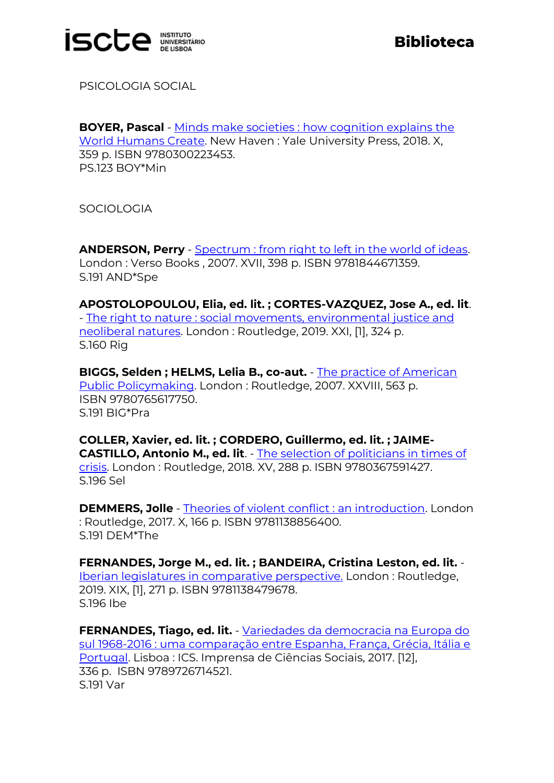

PSICOLOGIA SOCIAL

**BOYER, Pascal** - [Minds make societies : how cognition explains the](https://catalogo.biblioteca.iscte-iul.pt/cgi-bin/koha/opac-detail.pl?biblionumber=107318)  [World Humans Create.](https://catalogo.biblioteca.iscte-iul.pt/cgi-bin/koha/opac-detail.pl?biblionumber=107318) New Haven : Yale University Press, 2018. X, 359 p. ISBN 9780300223453. PS.123 BOY\*Min

**SOCIOLOGIA** 

**ANDERSON, Perry** - [Spectrum : from right to left in the world of ideas.](https://catalogo.biblioteca.iscte-iul.pt/cgi-bin/koha/opac-detail.pl?biblionumber=107321) London : Verso Books , 2007. XVII, 398 p. ISBN 9781844671359. S.191 AND\*Spe

**APOSTOLOPOULOU, Elia, ed. lit. ; CORTES-VAZQUEZ, Jose A., ed. lit**. - [The right to nature : social movements, environmental justice and](https://catalogo.biblioteca.iscte-iul.pt/cgi-bin/koha/opac-detail.pl?biblionumber=107636)  [neoliberal natures.](https://catalogo.biblioteca.iscte-iul.pt/cgi-bin/koha/opac-detail.pl?biblionumber=107636) London : Routledge, 2019. XXI, [1], 324 p. S.160 Rig

**BIGGS, Selden ; HELMS, Lelia B., co-aut.** - [The practice of American](https://catalogo.biblioteca.iscte-iul.pt/cgi-bin/koha/opac-detail.pl?biblionumber=107601)  [Public Policymaking.](https://catalogo.biblioteca.iscte-iul.pt/cgi-bin/koha/opac-detail.pl?biblionumber=107601) London : Routledge, 2007. XXVIII, 563 p. ISBN 9780765617750. S.191 BIG\*Pra

**COLLER, Xavier, ed. lit. ; CORDERO, Guillermo, ed. lit. ; JAIME-CASTILLO, Antonio M., ed. lit**. - [The selection of politicians in times of](https://catalogo.biblioteca.iscte-iul.pt/cgi-bin/koha/opac-detail.pl?biblionumber=107591)  [crisis.](https://catalogo.biblioteca.iscte-iul.pt/cgi-bin/koha/opac-detail.pl?biblionumber=107591) London : Routledge, 2018. XV, 288 p. ISBN 9780367591427. S.196 Sel

**DEMMERS, Jolle** - [Theories of violent conflict : an introduction.](https://catalogo.biblioteca.iscte-iul.pt/cgi-bin/koha/opac-detail.pl?biblionumber=107305) London : Routledge, 2017. X, 166 p. ISBN 9781138856400. S.191 DEM\*The

**FERNANDES, Jorge M., ed. lit. ; BANDEIRA, Cristina Leston, ed. lit.** - [Iberian legislatures in comparative perspective.](https://catalogo.biblioteca.iscte-iul.pt/cgi-bin/koha/opac-detail.pl?biblionumber=107622) London : Routledge, 2019. XIX, [1], 271 p. ISBN 9781138479678. S.196 Ibe

**FERNANDES, Tiago, ed. lit.** - [Variedades da democracia na Europa do](https://catalogo.biblioteca.iscte-iul.pt/cgi-bin/koha/opac-detail.pl?biblionumber=107596)  [sul 1968-2016 : uma comparação entre Espanha, França, Grécia, Itália e](https://catalogo.biblioteca.iscte-iul.pt/cgi-bin/koha/opac-detail.pl?biblionumber=107596)  [Portugal.](https://catalogo.biblioteca.iscte-iul.pt/cgi-bin/koha/opac-detail.pl?biblionumber=107596) Lisboa : ICS. Imprensa de Ciências Sociais, 2017. [12], 336 p. ISBN 9789726714521. S.191 Var